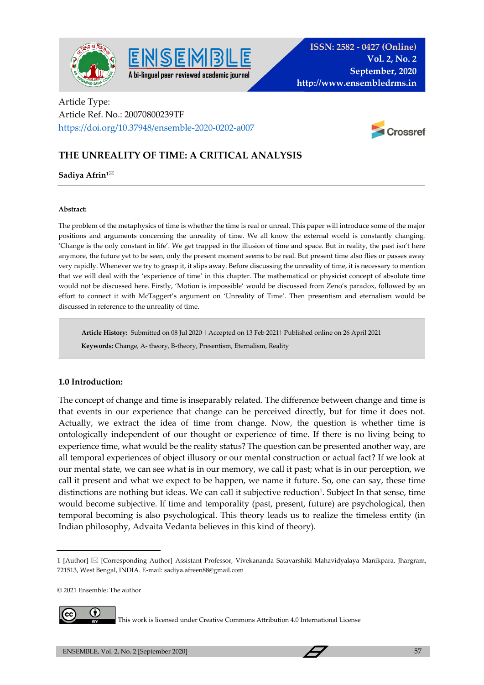



# Article Type: Article Ref. No.: 20070800239TF <https://doi.org/10.37948/ensemble-2020-0202-a007>



# **THE UNREALITY OF TIME: A CRITICAL ANALYSIS**

SEN

#### **Sadiya Afrin1**

#### **Abstract:**

The problem of the metaphysics of time is whether the time is real or unreal. This paper will introduce some of the major positions and arguments concerning the unreality of time. We all know the external world is constantly changing. 'Change is the only constant in life'. We get trapped in the illusion of time and space. But in reality, the past isn't here anymore, the future yet to be seen, only the present moment seems to be real. But present time also flies or passes away very rapidly. Whenever we try to grasp it, it slips away. Before discussing the unreality of time, it is necessary to mention that we will deal with the 'experience of time' in this chapter. The mathematical or physicist concept of absolute time would not be discussed here. Firstly, 'Motion is impossible' would be discussed from Zeno's paradox, followed by an effort to connect it with McTaggert's argument on 'Unreality of Time'. Then presentism and eternalism would be discussed in reference to the unreality of time.

**Article History:** Submitted on 08 Jul 2020 | Accepted on 13 Feb 2021| Published online on 26 April 2021

 **Keywords:** Change, A- theory, B-theory, Presentism, Eternalism, Reality

#### **1.0 Introduction:**

The concept of change and time is inseparably related. The difference between change and time is that events in our experience that change can be perceived directly, but for time it does not. Actually, we extract the idea of time from change. Now, the question is whether time is ontologically independent of our thought or experience of time. If there is no living being to experience time, what would be the reality status? The question can be presented another way, are all temporal experiences of object illusory or our mental construction or actual fact? If we look at our mental state, we can see what is in our memory, we call it past; what is in our perception, we call it present and what we expect to be happen, we name it future. So, one can say, these time distinctions are nothing but ideas. We can call it subjective reduction<sup>1</sup>. Subject In that sense, time would become subjective. If time and temporality (past, present, future) are psychological, then temporal becoming is also psychological. This theory leads us to realize the timeless entity (in Indian philosophy, Advaita Vedanta believes in this kind of theory).

© 2021 Ensemble; The author



This work is licensed under Creative Commons Attribution 4.0 International License

<sup>1 [</sup>Author] [Corresponding Author] Assistant Professor, Vivekananda Satavarshiki Mahavidyalaya Manikpara, Jhargram, 721513, West Bengal, INDIA. E-mail: sadiya.afreen88@gmail.com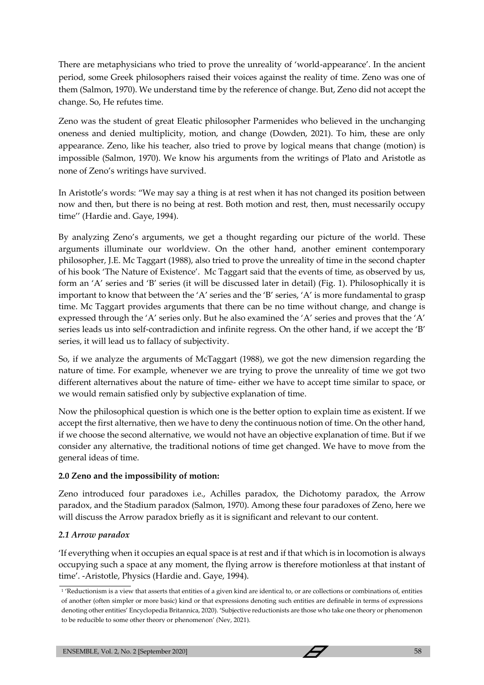There are metaphysicians who tried to prove the unreality of 'world-appearance'. In the ancient period, some Greek philosophers raised their voices against the reality of time. Zeno was one of them (Salmon, 1970). We understand time by the reference of change. But, Zeno did not accept the change. So, He refutes time.

Zeno was the student of great Eleatic philosopher Parmenides who believed in the unchanging oneness and denied multiplicity, motion, and change (Dowden, 2021). To him, these are only appearance. Zeno, like his teacher, also tried to prove by logical means that change (motion) is impossible (Salmon, 1970). We know his arguments from the writings of Plato and Aristotle as none of Zeno's writings have survived.

In Aristotle's words: "We may say a thing is at rest when it has not changed its position between now and then, but there is no being at rest. Both motion and rest, then, must necessarily occupy time'' (Hardie and. Gaye, 1994).

By analyzing Zeno's arguments, we get a thought regarding our picture of the world. These arguments illuminate our worldview. On the other hand, another eminent contemporary philosopher, J.E. Mc Taggart (1988), also tried to prove the unreality of time in the second chapter of his book 'The Nature of Existence'. Mc Taggart said that the events of time, as observed by us, form an 'A' series and 'B' series (it will be discussed later in detail) (Fig. 1). Philosophically it is important to know that between the 'A' series and the 'B' series, 'A' is more fundamental to grasp time. Mc Taggart provides arguments that there can be no time without change, and change is expressed through the 'A' series only. But he also examined the 'A' series and proves that the 'A' series leads us into self-contradiction and infinite regress. On the other hand, if we accept the 'B' series, it will lead us to fallacy of subjectivity.

So, if we analyze the arguments of McTaggart (1988), we got the new dimension regarding the nature of time. For example, whenever we are trying to prove the unreality of time we got two different alternatives about the nature of time- either we have to accept time similar to space, or we would remain satisfied only by subjective explanation of time.

Now the philosophical question is which one is the better option to explain time as existent. If we accept the first alternative, then we have to deny the continuous notion of time. On the other hand, if we choose the second alternative, we would not have an objective explanation of time. But if we consider any alternative, the traditional notions of time get changed. We have to move from the general ideas of time.

# **2.0 Zeno and the impossibility of motion:**

Zeno introduced four paradoxes i.e., Achilles paradox, the Dichotomy paradox, the Arrow paradox, and the Stadium paradox (Salmon, 1970). Among these four paradoxes of Zeno, here we will discuss the Arrow paradox briefly as it is significant and relevant to our content.

# *2.1 Arrow paradox*

'If everything when it occupies an equal space is at rest and if that which is in locomotion is always occupying such a space at any moment, the flying arrow is therefore motionless at that instant of time'. -Aristotle, Physics (Hardie and. Gaye, 1994).

<sup>1</sup> 'Reductionism is a view that asserts that entities of a given kind are identical to, or are collections or combinations of, entities of another (often simpler or more basic) kind or that expressions denoting such entities are definable in terms of expressions denoting other entities' Encyclopedia Britannica, 2020). 'Subjective reductionists are those who take one theory or phenomenon to be reducible to some other theory or phenomenon' (Ney, 2021).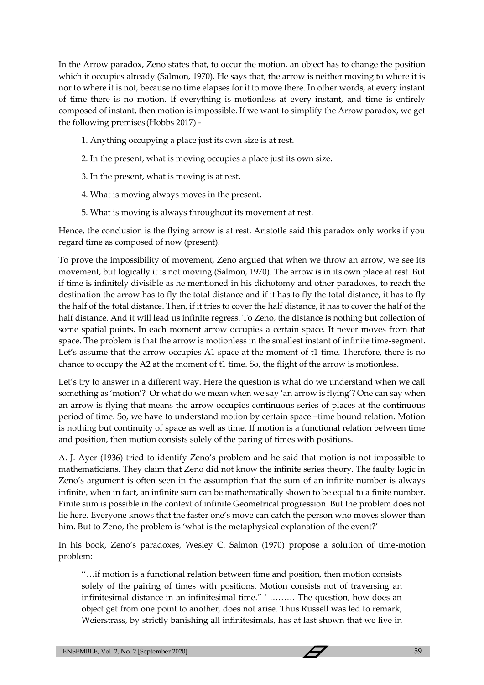In the Arrow paradox, Zeno states that, to occur the motion, an object has to change the position which it occupies already (Salmon, 1970). He says that, the arrow is neither moving to where it is nor to where it is not, because no time elapses for it to move there. In other words, at every instant of time there is no motion. If everything is motionless at every instant, and time is entirely composed of instant, then motion is impossible. If we want to simplify the Arrow paradox, we get the following premises (Hobbs 2017) -

- 1. Anything occupying a place just its own size is at rest.
- 2. In the present, what is moving occupies a place just its own size.
- 3. In the present, what is moving is at rest.
- 4. What is moving always moves in the present.
- 5. What is moving is always throughout its movement at rest.

Hence, the conclusion is the flying arrow is at rest. Aristotle said this paradox only works if you regard time as composed of now (present).

To prove the impossibility of movement, Zeno argued that when we throw an arrow, we see its movement, but logically it is not moving (Salmon, 1970). The arrow is in its own place at rest. But if time is infinitely divisible as he mentioned in his dichotomy and other paradoxes, to reach the destination the arrow has to fly the total distance and if it has to fly the total distance, it has to fly the half of the total distance. Then, if it tries to cover the half distance, it has to cover the half of the half distance. And it will lead us infinite regress. To Zeno, the distance is nothing but collection of some spatial points. In each moment arrow occupies a certain space. It never moves from that space. The problem is that the arrow is motionless in the smallest instant of infinite time-segment. Let's assume that the arrow occupies A1 space at the moment of t1 time. Therefore, there is no chance to occupy the A2 at the moment of t1 time. So, the flight of the arrow is motionless.

Let's try to answer in a different way. Here the question is what do we understand when we call something as 'motion'? Or what do we mean when we say 'an arrow is flying'? One can say when an arrow is flying that means the arrow occupies continuous series of places at the continuous period of time. So, we have to understand motion by certain space –time bound relation. Motion is nothing but continuity of space as well as time. If motion is a functional relation between time and position, then motion consists solely of the paring of times with positions.

A. J. Ayer (1936) tried to identify Zeno's problem and he said that motion is not impossible to mathematicians. They claim that Zeno did not know the infinite series theory. The faulty logic in Zeno's argument is often seen in the assumption that the sum of an infinite number is always infinite, when in fact, an infinite sum can be mathematically shown to be equal to a finite number. Finite sum is possible in the context of infinite Geometrical progression. But the problem does not lie here. Everyone knows that the faster one's move can catch the person who moves slower than him. But to Zeno, the problem is 'what is the metaphysical explanation of the event?'

In his book, Zeno's paradoxes, Wesley C. Salmon (1970) propose a solution of time-motion problem:

''…if motion is a functional relation between time and position, then motion consists solely of the pairing of times with positions. Motion consists not of traversing an infinitesimal distance in an infinitesimal time." ' ……… The question, how does an object get from one point to another, does not arise. Thus Russell was led to remark, Weierstrass, by strictly banishing all infinitesimals, has at last shown that we live in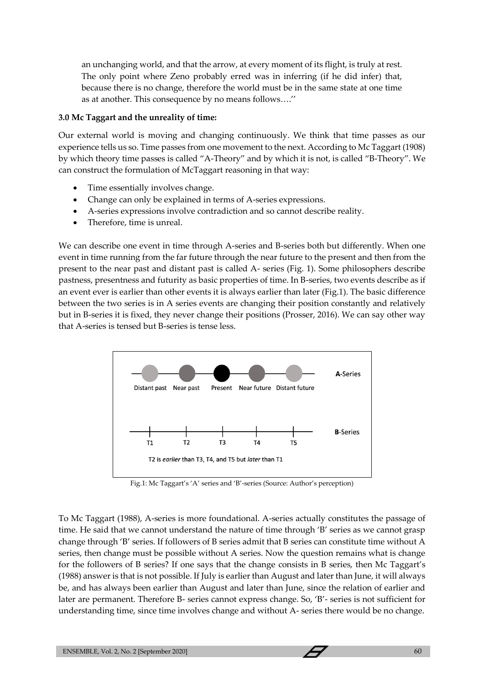an unchanging world, and that the arrow, at every moment of its flight, is truly at rest. The only point where Zeno probably erred was in inferring (if he did infer) that, because there is no change, therefore the world must be in the same state at one time as at another. This consequence by no means follows….''

#### **3.0 Mc Taggart and the unreality of time:**

Our external world is moving and changing continuously. We think that time passes as our experience tells us so. Time passes from one movement to the next. According to Mc Taggart (1908) by which theory time passes is called "A-Theory" and by which it is not, is called "B-Theory". We can construct the formulation of McTaggart reasoning in that way:

- Time essentially involves change.
- Change can only be explained in terms of A-series expressions.
- A-series expressions involve contradiction and so cannot describe reality.
- Therefore, time is unreal.

We can describe one event in time through A-series and B-series both but differently. When one event in time running from the far future through the near future to the present and then from the present to the near past and distant past is called A- series (Fig. 1). Some philosophers describe pastness, presentness and futurity as basic properties of time. In B-series, two events describe as if an event ever is earlier than other events it is always earlier than later (Fig.1). The basic difference between the two series is in A series events are changing their position constantly and relatively but in B-series it is fixed, they never change their positions (Prosser, 2016). We can say other way that A-series is tensed but B-series is tense less.



Fig.1: Mc Taggart's 'A' series and 'B'-series (Source: Author's perception)

To Mc Taggart (1988), A-series is more foundational. A-series actually constitutes the passage of time. He said that we cannot understand the nature of time through 'B' series as we cannot grasp change through 'B' series. If followers of B series admit that B series can constitute time without A series, then change must be possible without A series. Now the question remains what is change for the followers of B series? If one says that the change consists in B series, then Mc Taggart's (1988) answer is that is not possible. If July is earlier than August and later than June, it will always be, and has always been earlier than August and later than June, since the relation of earlier and later are permanent. Therefore B- series cannot express change. So, 'B'- series is not sufficient for understanding time, since time involves change and without A- series there would be no change.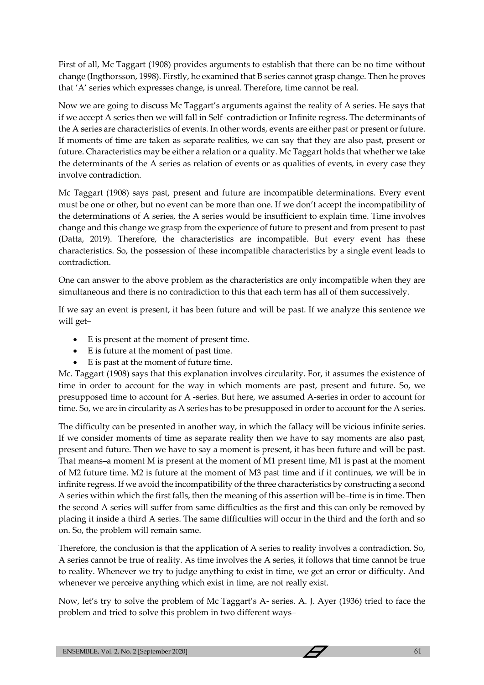First of all, Mc Taggart (1908) provides arguments to establish that there can be no time without change (Ingthorsson, 1998). Firstly, he examined that B series cannot grasp change. Then he proves that 'A' series which expresses change, is unreal. Therefore, time cannot be real.

Now we are going to discuss Mc Taggart's arguments against the reality of A series. He says that if we accept A series then we will fall in Self–contradiction or Infinite regress. The determinants of the A series are characteristics of events. In other words, events are either past or present or future. If moments of time are taken as separate realities, we can say that they are also past, present or future. Characteristics may be either a relation or a quality. Mc Taggart holds that whether we take the determinants of the A series as relation of events or as qualities of events, in every case they involve contradiction.

Mc Taggart (1908) says past, present and future are incompatible determinations. Every event must be one or other, but no event can be more than one. If we don't accept the incompatibility of the determinations of A series, the A series would be insufficient to explain time. Time involves change and this change we grasp from the experience of future to present and from present to past (Datta, 2019). Therefore, the characteristics are incompatible. But every event has these characteristics. So, the possession of these incompatible characteristics by a single event leads to contradiction.

One can answer to the above problem as the characteristics are only incompatible when they are simultaneous and there is no contradiction to this that each term has all of them successively.

If we say an event is present, it has been future and will be past. If we analyze this sentence we will get–

- E is present at the moment of present time.
- E is future at the moment of past time.
- E is past at the moment of future time.

Mc. Taggart (1908) says that this explanation involves circularity. For, it assumes the existence of time in order to account for the way in which moments are past, present and future. So, we presupposed time to account for A -series. But here, we assumed A-series in order to account for time. So, we are in circularity as A series has to be presupposed in order to account for the A series.

The difficulty can be presented in another way, in which the fallacy will be vicious infinite series. If we consider moments of time as separate reality then we have to say moments are also past, present and future. Then we have to say a moment is present, it has been future and will be past. That means–a moment M is present at the moment of M1 present time, M1 is past at the moment of M2 future time. M2 is future at the moment of M3 past time and if it continues, we will be in infinite regress. If we avoid the incompatibility of the three characteristics by constructing a second A series within which the first falls, then the meaning of this assertion will be–time is in time. Then the second A series will suffer from same difficulties as the first and this can only be removed by placing it inside a third A series. The same difficulties will occur in the third and the forth and so on. So, the problem will remain same.

Therefore, the conclusion is that the application of A series to reality involves a contradiction. So, A series cannot be true of reality. As time involves the A series, it follows that time cannot be true to reality. Whenever we try to judge anything to exist in time, we get an error or difficulty. And whenever we perceive anything which exist in time, are not really exist.

Now, let's try to solve the problem of Mc Taggart's A- series. A. J. Ayer (1936) tried to face the problem and tried to solve this problem in two different ways–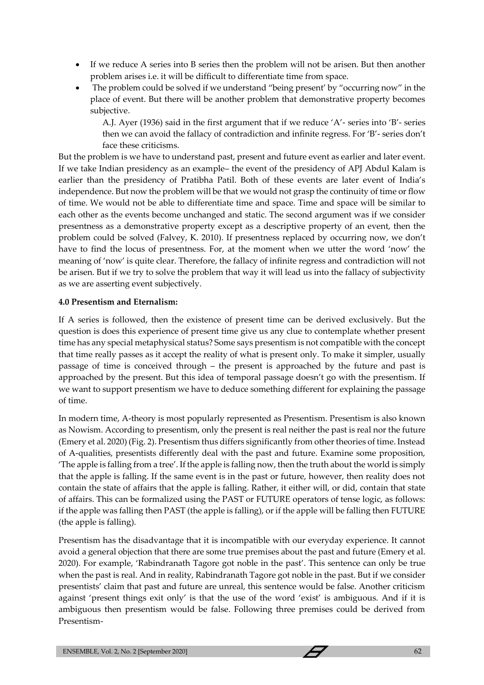- If we reduce A series into B series then the problem will not be arisen. But then another problem arises i.e. it will be difficult to differentiate time from space.
- The problem could be solved if we understand "being present' by "occurring now" in the place of event. But there will be another problem that demonstrative property becomes subjective.

A.J. Ayer (1936) said in the first argument that if we reduce 'A'- series into 'B'- series then we can avoid the fallacy of contradiction and infinite regress. For 'B'- series don't face these criticisms.

But the problem is we have to understand past, present and future event as earlier and later event. If we take Indian presidency as an example– the event of the presidency of APJ Abdul Kalam is earlier than the presidency of Pratibha Patil. Both of these events are later event of India's independence. But now the problem will be that we would not grasp the continuity of time or flow of time. We would not be able to differentiate time and space. Time and space will be similar to each other as the events become unchanged and static. The second argument was if we consider presentness as a demonstrative property except as a descriptive property of an event, then the problem could be solved (Falvey, K. 2010). If presentness replaced by occurring now, we don't have to find the locus of presentness. For, at the moment when we utter the word 'now' the meaning of 'now' is quite clear. Therefore, the fallacy of infinite regress and contradiction will not be arisen. But if we try to solve the problem that way it will lead us into the fallacy of subjectivity as we are asserting event subjectively.

# **4.0 Presentism and Eternalism:**

If A series is followed, then the existence of present time can be derived exclusively. But the question is does this experience of present time give us any clue to contemplate whether present time has any special metaphysical status? Some says presentism is not compatible with the concept that time really passes as it accept the reality of what is present only. To make it simpler, usually passage of time is conceived through – the present is approached by the future and past is approached by the present. But this idea of temporal passage doesn't go with the presentism. If we want to support presentism we have to deduce something different for explaining the passage of time.

In modern time, A-theory is most popularly represented as Presentism. Presentism is also known as Nowism. According to presentism, only the present is real neither the past is real nor the future (Emery et al. 2020) (Fig. 2). Presentism thus differs significantly from other theories of time. Instead of A-qualities, presentists differently deal with the past and future. Examine some proposition, 'The apple is falling from a tree'. If the apple is falling now, then the truth about the world is simply that the apple is falling. If the same event is in the past or future, however, then reality does not contain the state of affairs that the apple is falling. Rather, it either will, or did, contain that state of affairs. This can be formalized using the PAST or FUTURE operators of tense logic, as follows: if the apple was falling then PAST (the apple is falling), or if the apple will be falling then FUTURE (the apple is falling).

Presentism has the disadvantage that it is incompatible with our everyday experience. It cannot avoid a general objection that there are some true premises about the past and future (Emery et al. 2020). For example, 'Rabindranath Tagore got noble in the past'. This sentence can only be true when the past is real. And in reality, Rabindranath Tagore got noble in the past. But if we consider presentists' claim that past and future are unreal, this sentence would be false. Another criticism against 'present things exit only' is that the use of the word 'exist' is ambiguous. And if it is ambiguous then presentism would be false. Following three premises could be derived from Presentism-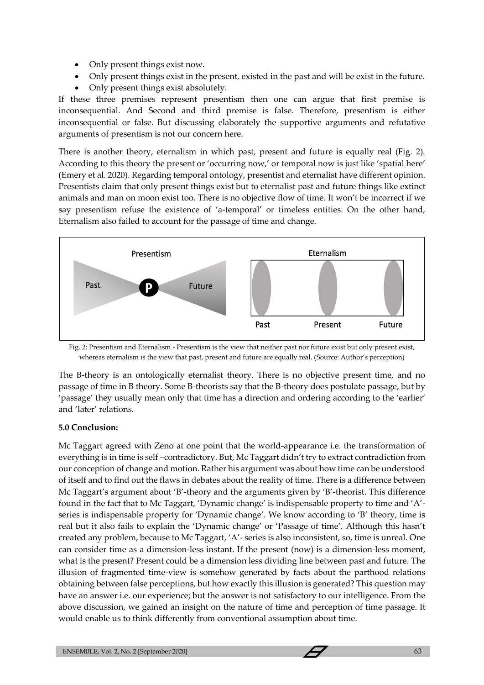- Only present things exist now.
- Only present things exist in the present, existed in the past and will be exist in the future.
- Only present things exist absolutely.

If these three premises represent presentism then one can argue that first premise is inconsequential. And Second and third premise is false. Therefore, presentism is either inconsequential or false. But discussing elaborately the supportive arguments and refutative arguments of presentism is not our concern here.

There is another theory, eternalism in which past, present and future is equally real (Fig. 2). According to this theory the present or 'occurring now,' or temporal now is just like 'spatial here' (Emery et al. 2020). Regarding temporal ontology, presentist and eternalist have different opinion. Presentists claim that only present things exist but to eternalist past and future things like extinct animals and man on moon exist too. There is no objective flow of time. It won't be incorrect if we say presentism refuse the existence of 'a-temporal' or timeless entities. On the other hand, Eternalism also failed to account for the passage of time and change.



Fig. 2: Presentism and Eternalism - Presentism is the view that neither past nor future exist but only present exist, whereas eternalism is the view that past, present and future are equally real. (Source: Author's perception)

The B-theory is an ontologically eternalist theory. There is no objective present time, and no passage of time in B theory. Some B-theorists say that the B-theory does postulate passage, but by 'passage' they usually mean only that time has a direction and ordering according to the 'earlier' and 'later' relations.

# **5.0 Conclusion:**

Mc Taggart agreed with Zeno at one point that the world-appearance i.e. the transformation of everything is in time is self –contradictory. But, Mc Taggart didn't try to extract contradiction from our conception of change and motion. Rather his argument was about how time can be understood of itself and to find out the flaws in debates about the reality of time. There is a difference between Mc Taggart's argument about 'B'-theory and the arguments given by 'B'-theorist. This difference found in the fact that to Mc Taggart, 'Dynamic change' is indispensable property to time and 'A' series is indispensable property for 'Dynamic change'. We know according to 'B' theory, time is real but it also fails to explain the 'Dynamic change' or 'Passage of time'. Although this hasn't created any problem, because to Mc Taggart, 'A'- series is also inconsistent, so, time is unreal. One can consider time as a dimension-less instant. If the present (now) is a dimension-less moment, what is the present? Present could be a dimension less dividing line between past and future. The illusion of fragmented time-view is somehow generated by facts about the parthood relations obtaining between false perceptions, but how exactly this illusion is generated? This question may have an answer i.e. our experience; but the answer is not satisfactory to our intelligence. From the above discussion, we gained an insight on the nature of time and perception of time passage. It would enable us to think differently from conventional assumption about time.